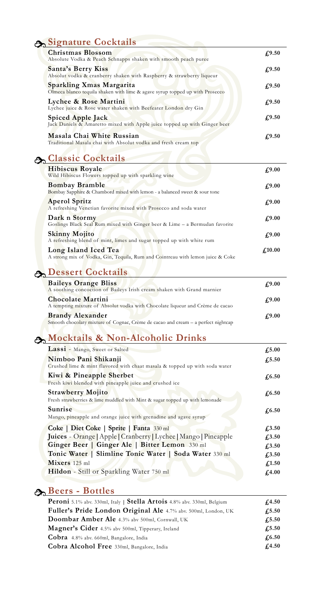## **Signature Cocktails**

| <b>Christmas Blossom</b><br>Absolute Vodka & Peach Schnapps shaken with smooth peach puree               | $\sqrt{.9.50}$ |
|----------------------------------------------------------------------------------------------------------|----------------|
| <b>Santa's Berry Kiss</b><br>Absolut vodka & cranberry shaken with Raspberry & strawberry liqueur        | f(9.50)        |
| Sparkling Xmas Margarita<br>Olmeca blanco tequila shaken with lime & agave syrup topped up with Prosecco | $f_{1}^{9.50}$ |
| Lychee & Rose Martini<br>Lychee juice & Rose water shaken with Beefeater London dry Gin                  | $f_{1}^{9.50}$ |
| Spiced Apple Jack<br>Jack Daniels & Amaretto mixed with Apple juice topped up with Ginger beer           | $f_{1}^{9.50}$ |
| Masala Chai White Russian<br>Traditional Masala chai with Absolut vodka and fresh cream top              | £9.50          |

### **Classic Cocktails**

| <b>Hibiscus Royale</b><br>Wild Hibiscus Flowers topped up with sparkling wine                          | £9.00           |
|--------------------------------------------------------------------------------------------------------|-----------------|
| <b>Bombay Bramble</b><br>Bombay Sapphire & Chambord mixed with lemon - a balanced sweet & sour tone    | £9.00           |
| <b>Aperol Spritz</b><br>A refreshing Venetian favorite mixed with Prosecco and soda water              | £9.00           |
| Dark n Stormy<br>Goslings Black Seal Rum mixed with Ginger beer & Lime - a Bermudan favorite           | £9.00           |
| <b>Skinny Mojito</b><br>A refreshing blend of mint, limes and sugar topped up with white rum           | £9.00           |
| Long Island Iced Tea<br>A strong mix of Vodka, Gin, Tequila, Rum and Cointreau with lemon juice & Coke | $\pounds$ 10.00 |

# **Dessert Cocktails**

| <b>Baileys Orange Bliss</b>                                                                                  | £9.00 |
|--------------------------------------------------------------------------------------------------------------|-------|
| A soothing concoction of Baileys Irish cream shaken with Grand marnier                                       |       |
| <b>Chocolate Martini</b><br>A tempting mixture of Absolut vodka with Chocolate liqueur and Crème de cacao    | £9.00 |
| <b>Brandy Alexander</b><br>Smooth chocolaty mixture of Cognac, Crème de cacao and cream – a perfect nightcap | £9.00 |

## **Mocktails & Non-Alcoholic Drinks**

| Lassi - Mango, Sweet or Salted                                                                          | $f_{\rm s}5.00$ |
|---------------------------------------------------------------------------------------------------------|-----------------|
| Nimboo Pani Shikanji<br>Crushed lime & mint flavored with chaat masala & topped up with soda water      | $f_{1}5.50$     |
| Kiwi & Pineapple Sherbet<br>Fresh kiwi blended with pineapple juice and crushed ice                     | $\sqrt{6.50}$   |
| <b>Strawberry Mojito</b><br>Fresh strawberries & lime muddled with Mint & sugar topped up with lemonade | $\sqrt{6.50}$   |
| Sunrise<br>Mango, pineapple and orange juice with grenadine and agave syrup                             | $\sqrt{6.50}$   |
| Coke   Diet Coke   Sprite   Fanta 330 ml                                                                | $f_{1,3.50}$    |
| Juices - Orange   Apple   Cranberry   Lychee   Mango   Pineapple                                        | $f_{1,3.50}$    |
| Ginger Beer   Ginger Ale   Bitter Lemon 330 ml                                                          | $f_{1,3.50}$    |
| Tonic Water   Slimline Tonic Water   Soda Water 330 ml                                                  | $f_{1,3.50}$    |
| Mixers 125 ml                                                                                           | $\pounds$ 1.50  |
| Hildon - Still or Sparkling Water 750 ml                                                                | $f_{1,00}$      |
|                                                                                                         |                 |

### **Beers - Bottles**

| Peroni 5.1% abv. 330ml, Italy   Stella Artois 4.8% abv. 330ml, Belgium | f(4.50)        |
|------------------------------------------------------------------------|----------------|
| Fuller's Pride London Original Ale 4.7% abv. 500ml, London, UK         | $\sqrt{.5.50}$ |
| Doombar Amber Ale 4.3% abv 500ml, Cornwall, UK                         | $f_{.5.50}$    |
| Magner's Cider 4.5% abv 500ml, Tipperary, Ireland                      | $\sqrt{.5.50}$ |
| Cobra 4.8% abv. 660ml, Bangalore, India                                | $\sqrt{6.50}$  |
| Cobra Alcohol Free 330ml, Bangalore, India                             | f.4.50         |